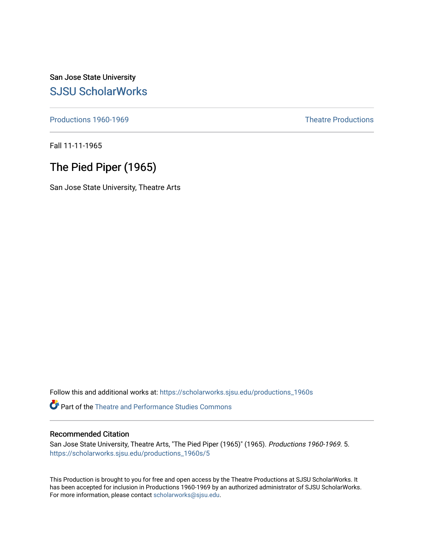San Jose State University [SJSU ScholarWorks](https://scholarworks.sjsu.edu/) 

[Productions 1960-1969](https://scholarworks.sjsu.edu/productions_1960s) [Theatre Productions](https://scholarworks.sjsu.edu/productions) 

Fall 11-11-1965

## The Pied Piper (1965)

San Jose State University, Theatre Arts

Follow this and additional works at: [https://scholarworks.sjsu.edu/productions\\_1960s](https://scholarworks.sjsu.edu/productions_1960s?utm_source=scholarworks.sjsu.edu%2Fproductions_1960s%2F5&utm_medium=PDF&utm_campaign=PDFCoverPages)

**C** Part of the Theatre and Performance Studies Commons

#### Recommended Citation

San Jose State University, Theatre Arts, "The Pied Piper (1965)" (1965). Productions 1960-1969. 5. [https://scholarworks.sjsu.edu/productions\\_1960s/5](https://scholarworks.sjsu.edu/productions_1960s/5?utm_source=scholarworks.sjsu.edu%2Fproductions_1960s%2F5&utm_medium=PDF&utm_campaign=PDFCoverPages)

This Production is brought to you for free and open access by the Theatre Productions at SJSU ScholarWorks. It has been accepted for inclusion in Productions 1960-1969 by an authorized administrator of SJSU ScholarWorks. For more information, please contact [scholarworks@sjsu.edu](mailto:scholarworks@sjsu.edu).